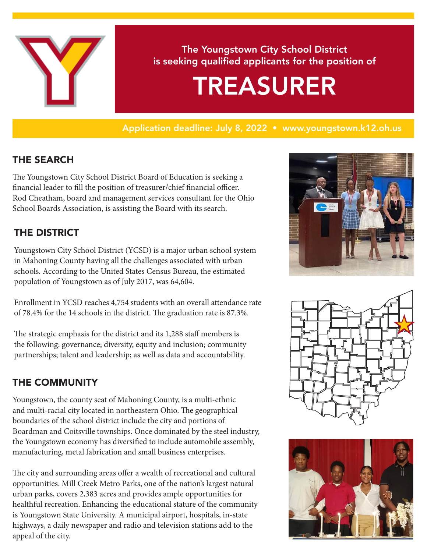

The Youngstown City School District is seeking qualified applicants for the position of

# TREASURER

# Application deadline: July 8, 2022 • www.youngstown.k12.oh.us

# THE SEARCH

The Youngstown City School District Board of Education is seeking a financial leader to fill the position of treasurer/chief financial officer. Rod Cheatham, board and management services consultant for the Ohio School Boards Association, is assisting the Board with its search.

# THE DISTRICT

Youngstown City School District (YCSD) is a major urban school system in Mahoning County having all the challenges associated with urban schools. According to the United States Census Bureau, the estimated population of Youngstown as of July 2017, was 64,604.

Enrollment in YCSD reaches 4,754 students with an overall attendance rate of 78.4% for the 14 schools in the district. The graduation rate is 87.3%.

The strategic emphasis for the district and its 1,288 staff members is the following: governance; diversity, equity and inclusion; community partnerships; talent and leadership; as well as data and accountability.

# THE COMMUNITY

Youngstown, the county seat of Mahoning County, is a multi-ethnic and multi-racial city located in northeastern Ohio. The geographical boundaries of the school district include the city and portions of Boardman and Coitsville townships. Once dominated by the steel industry, the Youngstown economy has diversified to include automobile assembly, manufacturing, metal fabrication and small business enterprises.

The city and surrounding areas offer a wealth of recreational and cultural opportunities. Mill Creek Metro Parks, one of the nation's largest natural urban parks, covers 2,383 acres and provides ample opportunities for healthful recreation. Enhancing the educational stature of the community is Youngstown State University. A municipal airport, hospitals, in-state highways, a daily newspaper and radio and television stations add to the appeal of the city.





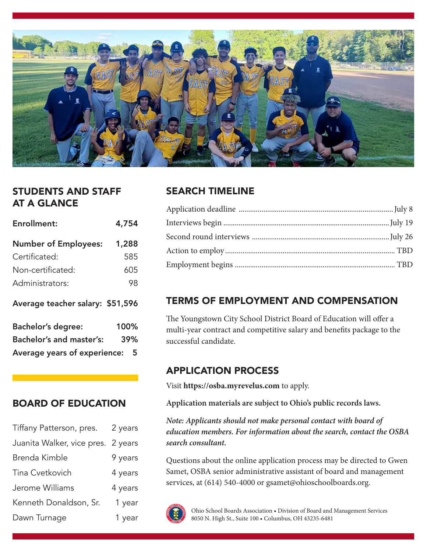

## STUDENTS AND STAFF AT A GLANCE

| Enrollment:                       | 4,754 |  |  |  |
|-----------------------------------|-------|--|--|--|
| <b>Number of Employees:</b>       | 1,288 |  |  |  |
| Certificated:                     | 585   |  |  |  |
| Non-certificated:                 | 605   |  |  |  |
| Administrators:                   | 98    |  |  |  |
| Average teacher salary: \$51,596  |       |  |  |  |
| <b>Bachelor's degree:</b>         | 100%  |  |  |  |
| <b>Bachelor's and master's:</b>   | 39%   |  |  |  |
| Average years of experience:<br>5 |       |  |  |  |

#### BOARD OF EDUCATION

| Tiffany Patterson, pres.           | 2 years |  |  |
|------------------------------------|---------|--|--|
| Juanita Walker, vice pres. 2 years |         |  |  |
| Brenda Kimble                      | 9 years |  |  |
| Tina Cvetkovich                    | 4 years |  |  |
| Jerome Williams                    | 4 years |  |  |
| Kenneth Donaldson, Sr.             | 1 year  |  |  |
| Dawn Turnage                       | 1 year  |  |  |

## SEARCH TIMELINE

#### TERMS OF EMPLOYMENT AND COMPENSATION

The Youngstown City School District Board of Education will offer a multi-year contract and competitive salary and benefits package to the successful candidate.

#### APPLICATION PROCESS

Visit **https://osba.myrevelus.com** to apply.

**Application materials are subject to Ohio's public records laws.**

*Note: Applicants should not make personal contact with board of education members. For information about the search, contact the OSBA search consultant.*

Questions about the online application process may be directed to Gwen Samet, OSBA senior administrative assistant of board and management services, at (614) 540-4000 or gsamet@ohioschoolboards.org.



Ohio School Boards Association • Division of Board and Management Services 8050 N. High St., Suite 100 • Columbus, OH 43235-6481